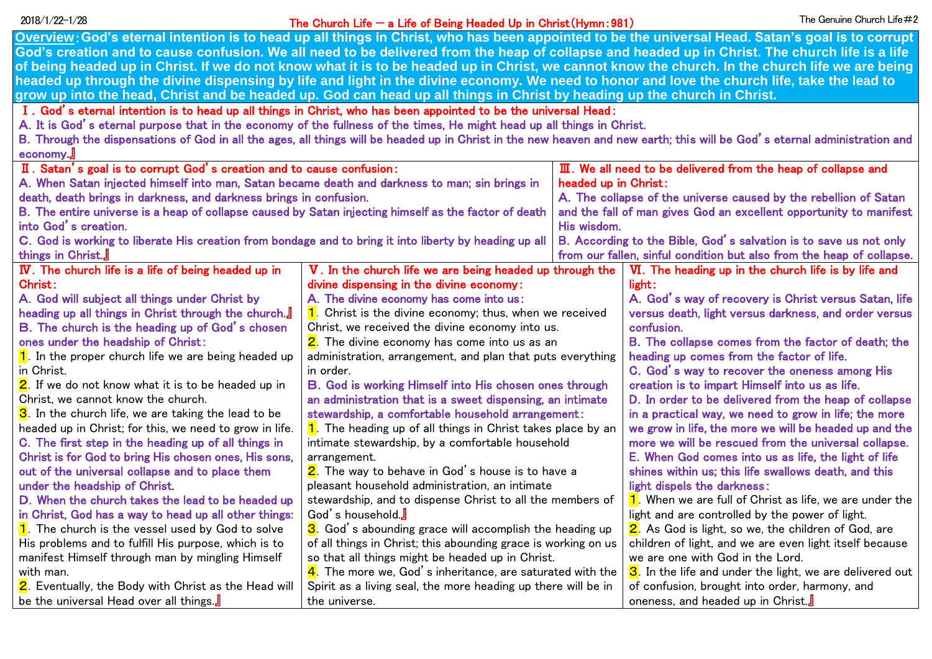## The Church Life — a Life of Being Headed Up in Christ(Hymn:981) 2018/1/22-1/28 The Genuine Church Life#2

| Overview: God's eternal intention is to head up all things in Christ, who has been appointed to be the universal Head. Satan's goal is to corrupt                          |                                                                                |                                                                         |                                                                       |  |  |
|----------------------------------------------------------------------------------------------------------------------------------------------------------------------------|--------------------------------------------------------------------------------|-------------------------------------------------------------------------|-----------------------------------------------------------------------|--|--|
| God's creation and to cause confusion. We all need to be delivered from the heap of collapse and headed up in Christ. The church life is a life                            |                                                                                |                                                                         |                                                                       |  |  |
| of being headed up in Christ. If we do not know what it is to be headed up in Christ, we cannot know the church. In the church life we are being                           |                                                                                |                                                                         |                                                                       |  |  |
| headed up through the divine dispensing by life and light in the divine economy. We need to honor and love the church life, take the lead to                               |                                                                                |                                                                         |                                                                       |  |  |
| grow up into the head, Christ and be headed up. God can head up all things in Christ by heading up the church in Christ.                                                   |                                                                                |                                                                         |                                                                       |  |  |
| I. God's eternal intention is to head up all things in Christ, who has been appointed to be the universal Head:                                                            |                                                                                |                                                                         |                                                                       |  |  |
| A. It is God's eternal purpose that in the economy of the fullness of the times, He might head up all things in Christ.                                                    |                                                                                |                                                                         |                                                                       |  |  |
| B. Through the dispensations of God in all the ages, all things will be headed up in Christ in the new heaven and new earth; this will be God's eternal administration and |                                                                                |                                                                         |                                                                       |  |  |
| economy.                                                                                                                                                                   |                                                                                |                                                                         |                                                                       |  |  |
| II. Satan's goal is to corrupt God's creation and to cause confusion:                                                                                                      |                                                                                | $\mathbf I$ . We all need to be delivered from the heap of collapse and |                                                                       |  |  |
| A. When Satan injected himself into man, Satan became death and darkness to man; sin brings in                                                                             |                                                                                | headed up in Christ:                                                    |                                                                       |  |  |
| death, death brings in darkness, and darkness brings in confusion.                                                                                                         |                                                                                | A. The collapse of the universe caused by the rebellion of Satan        |                                                                       |  |  |
| B. The entire universe is a heap of collapse caused by Satan injecting himself as the factor of death                                                                      |                                                                                | and the fall of man gives God an excellent opportunity to manifest      |                                                                       |  |  |
| into God's creation.                                                                                                                                                       |                                                                                | His wisdom.                                                             |                                                                       |  |  |
| C. God is working to liberate His creation from bondage and to bring it into liberty by heading up all                                                                     |                                                                                |                                                                         | B. According to the Bible, God's salvation is to save us not only     |  |  |
| things in Christ.                                                                                                                                                          |                                                                                |                                                                         | from our fallen, sinful condition but also from the heap of collapse. |  |  |
| IV. The church life is a life of being headed up in                                                                                                                        | V. In the church life we are being headed up through the                       |                                                                         | VI. The heading up in the church life is by life and                  |  |  |
| Christ:                                                                                                                                                                    | divine dispensing in the divine economy:                                       |                                                                         | light:                                                                |  |  |
| A. God will subject all things under Christ by                                                                                                                             | A. The divine economy has come into us:                                        |                                                                         | A. God's way of recovery is Christ versus Satan, life                 |  |  |
| heading up all things in Christ through the church.                                                                                                                        | $\overline{\mathbf{1}}$ . Christ is the divine economy; thus, when we received |                                                                         | versus death, light versus darkness, and order versus                 |  |  |
| B. The church is the heading up of God's chosen                                                                                                                            | Christ, we received the divine economy into us.                                |                                                                         | confusion.                                                            |  |  |
| ones under the headship of Christ:                                                                                                                                         | 2. The divine economy has come into us as an                                   |                                                                         | B. The collapse comes from the factor of death; the                   |  |  |
| $\overline{\mathbf{1}}$ . In the proper church life we are being headed up                                                                                                 | administration, arrangement, and plan that puts everything                     |                                                                         | heading up comes from the factor of life.                             |  |  |
| in Christ.                                                                                                                                                                 | in order.                                                                      |                                                                         | C. God's way to recover the oneness among His                         |  |  |
| 2. If we do not know what it is to be headed up in                                                                                                                         | B. God is working Himself into His chosen ones through                         |                                                                         | creation is to impart Himself into us as life.                        |  |  |
| Christ, we cannot know the church.                                                                                                                                         | an administration that is a sweet dispensing, an intimate                      |                                                                         | D. In order to be delivered from the heap of collapse                 |  |  |
| 3. In the church life, we are taking the lead to be                                                                                                                        | stewardship, a comfortable household arrangement:                              |                                                                         | in a practical way, we need to grow in life; the more                 |  |  |
| headed up in Christ; for this, we need to grow in life.                                                                                                                    | 1. The heading up of all things in Christ takes place by an                    |                                                                         | we grow in life, the more we will be headed up and the                |  |  |
| C. The first step in the heading up of all things in                                                                                                                       | intimate stewardship, by a comfortable household                               |                                                                         | more we will be rescued from the universal collapse.                  |  |  |
| Christ is for God to bring His chosen ones, His sons,                                                                                                                      | arrangement.                                                                   |                                                                         | E. When God comes into us as life, the light of life                  |  |  |
| out of the universal collapse and to place them                                                                                                                            | 2. The way to behave in God's house is to have a                               |                                                                         | shines within us; this life swallows death, and this                  |  |  |
| under the headship of Christ.                                                                                                                                              | pleasant household administration, an intimate                                 |                                                                         | light dispels the darkness:                                           |  |  |
| D. When the church takes the lead to be headed up                                                                                                                          | stewardship, and to dispense Christ to all the members of                      |                                                                         | 1. When we are full of Christ as life, we are under the               |  |  |
| in Christ, God has a way to head up all other things:                                                                                                                      | God's household.                                                               |                                                                         | light and are controlled by the power of light.                       |  |  |
| 1. The church is the vessel used by God to solve                                                                                                                           | 3. God's abounding grace will accomplish the heading up                        |                                                                         | 2. As God is light, so we, the children of God, are                   |  |  |
| His problems and to fulfill His purpose, which is to                                                                                                                       | of all things in Christ; this abounding grace is working on us                 |                                                                         | children of light, and we are even light itself because               |  |  |
| manifest Himself through man by mingling Himself                                                                                                                           | so that all things might be headed up in Christ.                               |                                                                         | we are one with God in the Lord.                                      |  |  |
| with man.                                                                                                                                                                  | $\frac{4}{1}$ . The more we, God's inheritance, are saturated with the         |                                                                         | 3. In the life and under the light, we are delivered out              |  |  |
| 2. Eventually, the Body with Christ as the Head will                                                                                                                       | Spirit as a living seal, the more heading up there will be in                  |                                                                         | of confusion, brought into order, harmony, and                        |  |  |
| be the universal Head over all things.                                                                                                                                     | the universe.                                                                  |                                                                         | oneness, and headed up in Christ.                                     |  |  |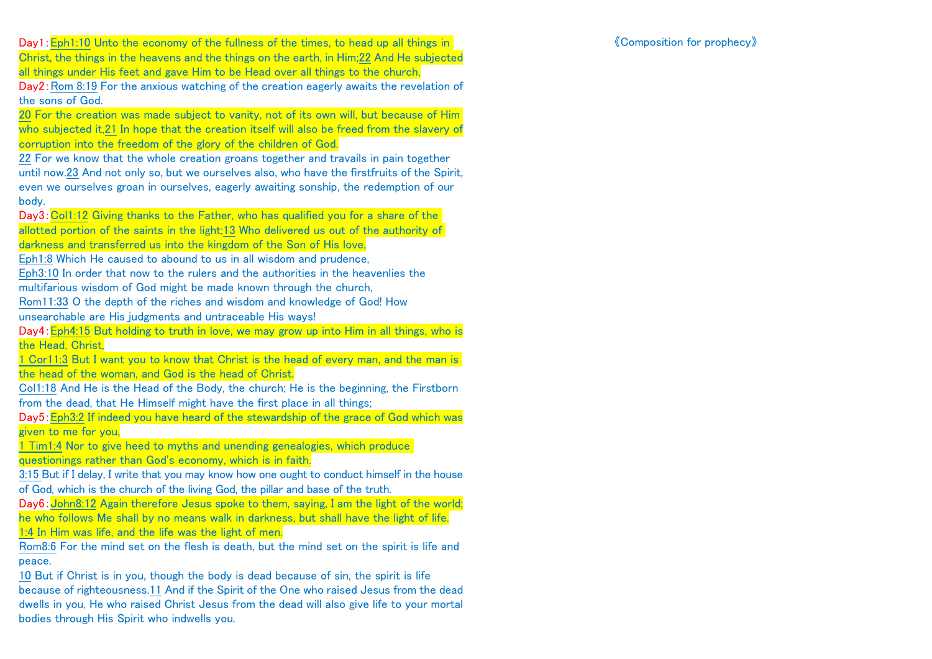Day1: Eph1:10 Unto the economy of the fullness of the times, to head up all things in Christ, the things in the heavens and the things on the earth, in Him;22 And He subjected all things under His feet and gave Him to be Head over all things to the church, Day2:Rom 8:19 For the anxious watching of the creation eagerly awaits the revelation of the sons of God.

20 For the creation was made subject to vanity, not of its own will, but because of Him who subjected it,21 In hope that the creation itself will also be freed from the slavery of corruption into the freedom of the glory of the children of God.

22 For we know that the whole creation groans together and travails in pain together until now.23 And not only so, but we ourselves also, who have the firstfruits of the Spirit, even we ourselves groan in ourselves, eagerly awaiting sonship, the redemption of our body.

Day3:Col1:12 Giving thanks to the Father, who has qualified you for a share of the allotted portion of the saints in the light;13 Who delivered us out of the authority of darkness and transferred us into the kingdom of the Son of His love,

Eph1:8 Which He caused to abound to us in all wisdom and prudence,

Eph3:10 In order that now to the rulers and the authorities in the heavenlies the

multifarious wisdom of God might be made known through the church,

Rom11:33 O the depth of the riches and wisdom and knowledge of God! How unsearchable are His judgments and untraceable His ways!

Day4:Eph4:15 But holding to truth in love, we may grow up into Him in all things, who is the Head, Christ,

1 Cor11:3 But I want you to know that Christ is the head of every man, and the man is the head of the woman, and God is the head of Christ.

Col1:18 And He is the Head of the Body, the church; He is the beginning, the Firstborn from the dead, that He Himself might have the first place in all things;

Day5:Eph3:2 If indeed you have heard of the stewardship of the grace of God which was given to me for you,

1 Tim1:4 Nor to give heed to myths and unending genealogies, which produce questionings rather than God's economy, which is in faith.

3:15 But if I delay, I write that you may know how one ought to conduct himself in the house of God, which is the church of the living God, the pillar and base of the truth.

Day6: John8:12 Again therefore Jesus spoke to them, saying, I am the light of the world; he who follows Me shall by no means walk in darkness, but shall have the light of life. 1:4 In Him was life, and the life was the light of men.

Rom8:6 For the mind set on the flesh is death, but the mind set on the spirit is life and peace.

10 But if Christ is in you, though the body is dead because of sin, the spirit is life because of righteousness.11 And if the Spirit of the One who raised Jesus from the dead dwells in you, He who raised Christ Jesus from the dead will also give life to your mortal bodies through His Spirit who indwells you.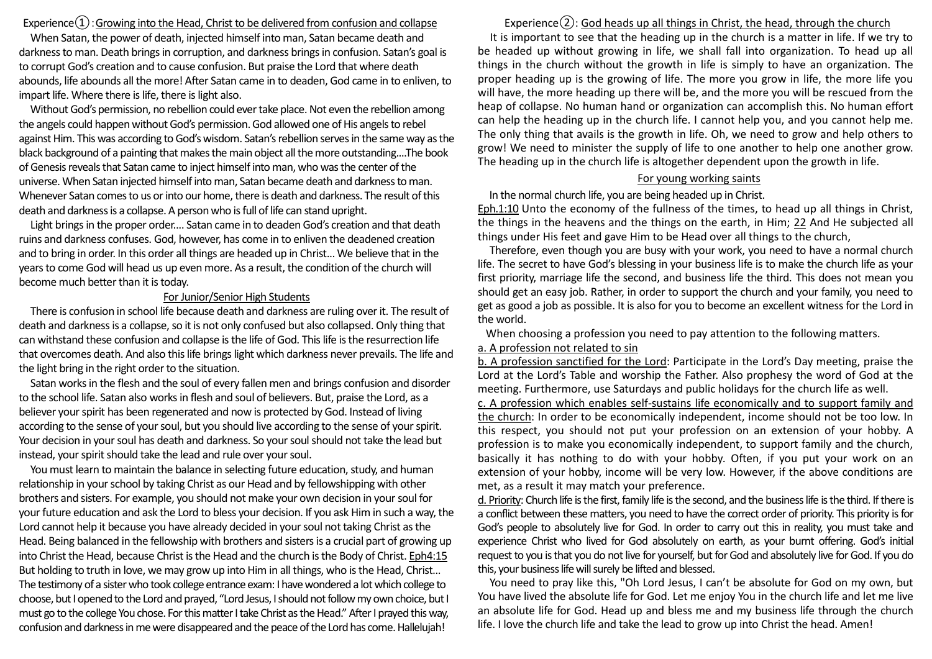Experience $\Omega$ : Growing into the Head, Christ to be delivered from confusion and collapse

When Satan, the power of death, injected himself into man, Satan became death and darkness to man. Death brings in corruption, and darkness brings in confusion. Satan's goal is to corrupt God's creation and to cause confusion. But praise the Lord that where death abounds, life abounds all the more! After Satan came in to deaden, God came in to enliven, to impart life. Where there is life, there is light also.

Without God's permission, no rebellion could ever take place. Not even the rebellion among the angels could happen without God's permission. God allowed one of His angels to rebel against Him. This was according to God's wisdom. Satan's rebellion serves in the same way as the black background of a painting that makes the main object all the more outstanding....The book of Genesis reveals that Satan came to inject himself into man, who was the center of the universe. When Satan injected himself into man, Satan became death and darkness to man. Whenever Satan comes to us or into our home, there is death and darkness. The result of this death and darkness is a collapse. A person who is full of life can stand upright.

Light brings in the proper order.... Satan came in to deaden God's creation and that death ruins and darkness confuses. God, however, has come in to enliven the deadened creation and to bring in order. In this order all things are headed up in Christ... We believe that in the years to come God will head us up even more. As a result, the condition of the church will become much better than it is today.

## For Junior/Senior High Students

There is confusion in school life because death and darkness are ruling over it. The result of death and darkness is a collapse, so it is not only confused but also collapsed. Only thing that can withstand these confusion and collapse isthe life of God. This life is the resurrection life that overcomes death. And also this life brings light which darkness never prevails. The life and the light bring in the right order to the situation.

Satan works in the flesh and the soul of every fallen men and brings confusion and disorder to the school life. Satan also works in flesh and soul of believers. But, praise the Lord, as a believer your spirit has been regenerated and now is protected by God. Instead of living according to the sense of your soul, but you should live according to the sense of your spirit. Your decision in your soul has death and darkness. So your soul should not take the lead but instead, your spirit should take the lead and rule over your soul.

You must learn to maintain the balance in selecting future education, study, and human relationship in your school by taking Christ as our Head and by fellowshipping with other brothers and sisters. For example, you should not make your own decision in your soul for your future education and ask the Lord to bless your decision. If you ask Him in such a way, the Lord cannot help it because you have already decided in your soul not taking Christ as the Head. Being balanced in the fellowship with brothers and sisters is a crucial part of growing up into Christ the Head, because Christ is the Head and the church is the Body of Christ. Eph4:15 But holding to truth in love, we may grow up into Him in all things, who is the Head, Christ... The testimony of a sisterwho took college entrance exam: I have wondered a lot which college to choose, but I opened to the Lord and prayed, "Lord Jesus, I should not follow my own choice, but I must go to the college You chose. For this matter I take Christ as the Head." After I prayed this way, confusion and darkness in me were disappeared and the peace of the Lord has come. Hallelujah!

Experience $(2)$ : God heads up all things in Christ, the head, through the church It is important to see that the heading up in the church is a matter in life. If we try to be headed up without growing in life, we shall fall into organization. To head up all things in the church without the growth in life is simply to have an organization. The proper heading up is the growing of life. The more you grow in life, the more life you will have, the more heading up there will be, and the more you will be rescued from the heap of collapse. No human hand or organization can accomplish this. No human effort can help the heading up in the church life. I cannot help you, and you cannot help me. The only thing that avails is the growth in life. Oh, we need to grow and help others to grow! We need to minister the supply of life to one another to help one another grow. The heading up in the church life is altogether dependent upon the growth in life.

## For young working saints

In the normal church life, you are being headed up in Christ.

Eph.1:10 Unto the economy of the fullness of the times, to head up all things in Christ, the things in the heavens and the things on the earth, in Him; 22 And He subjected all things under His feet and gave Him to be Head over all things to the church,

Therefore, even though you are busy with your work, you need to have a normal church life. The secret to have God's blessing in your business life is to make the church life as your first priority, marriage life the second, and business life the third. This does not mean you should get an easy job. Rather, in order to support the church and your family, you need to get as good a job as possible. It is also for you to become an excellent witness for the Lord in the world.

When choosing a profession you need to pay attention to the following matters.

## a. A profession not related to sin

b. A profession sanctified for the Lord: Participate in the Lord's Day meeting, praise the Lord at the Lord's Table and worship the Father. Also prophesy the word of God at the meeting. Furthermore, use Saturdays and public holidays for the church life as well. c. A profession which enables self-sustains life economically and to support family and the church: In order to be economically independent, income should not be too low. In this respect, you should not put your profession on an extension of your hobby. A profession is to make you economically independent, to support family and the church, basically it has nothing to do with your hobby. Often, if you put your work on an extension of your hobby, income will be very low. However, if the above conditions are met, as a result it may match your preference.

d. Priority: Church life is the first, family life is the second, and the business life is the third. If there is a conflict between these matters, you need to have the correct order of priority. This priority is for God's people to absolutely live for God. In order to carry out this in reality, you must take and experience Christ who lived for God absolutely on earth, as your burnt offering. God's initial request to you is that you do not live for yourself, but for God and absolutely live for God. If you do this, your business life will surely be lifted and blessed.

You need to pray like this, "Oh Lord Jesus, I can't be absolute for God on my own, but You have lived the absolute life for God. Let me enjoy You in the church life and let me live an absolute life for God. Head up and bless me and my business life through the church life. I love the church life and take the lead to grow up into Christ the head. Amen!